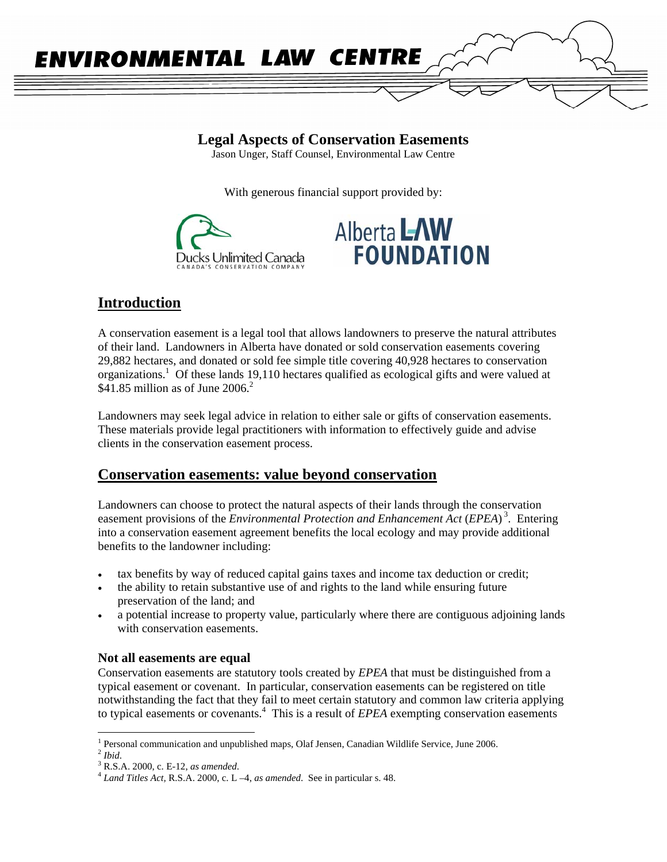

**Legal Aspects of Conservation Easements** 

Jason Unger, Staff Counsel, Environmental Law Centre

With generous financial support provided by:





# **Introduction**

A conservation easement is a legal tool that allows landowners to preserve the natural attributes of their land. Landowners in Alberta have donated or sold conservation easements covering 29,882 hectares, and donated or sold fee simple title covering 40,928 hectares to conservation organizations.<sup>1</sup> Of these lands 19,110 hectares qualified as ecological gifts and were valued at  $$41.85$  million as of June 2006.<sup>2</sup>

Landowners may seek legal advice in relation to either sale or gifts of conservation easements. These materials provide legal practitioners with information to effectively guide and advise clients in the conservation easement process.

## **Conservation easements: value beyond conservation**

Landowners can choose to protect the natural aspects of their lands through the conservation easement provisions of the *Environmental Protection and Enhancement Act* (*EPEA*)<sup>3</sup>. Entering into a conservation easement agreement benefits the local ecology and may provide additional benefits to the landowner including:

- tax benefits by way of reduced capital gains taxes and income tax deduction or credit;
- the ability to retain substantive use of and rights to the land while ensuring future preservation of the land; and
- a potential increase to property value, particularly where there are contiguous adjoining lands with conservation easements.

## **Not all easements are equal**

Conservation easements are statutory tools created by *EPEA* that must be distinguished from a typical easement or covenant. In particular, conservation easements can be registered on title notwithstanding the fact that they fail to meet certain statutory and common law criteria applying to typical easements or covenants.<sup>4</sup> This is a result of *EPEA* exempting conservation easements

<sup>&</sup>lt;sup>1</sup> Personal communication and unpublished maps, Olaf Jensen, Canadian Wildlife Service, June 2006.<br><sup>2</sup> *Ibid.* 3 **D** S A 2000 a E 12 *se suremented* 

R.S.A. 2000, c. E-12, *as amended*. 4 *Land Titles Act,* R.S.A. 2000, c. L –4, *as amended*. See in particular s. 48.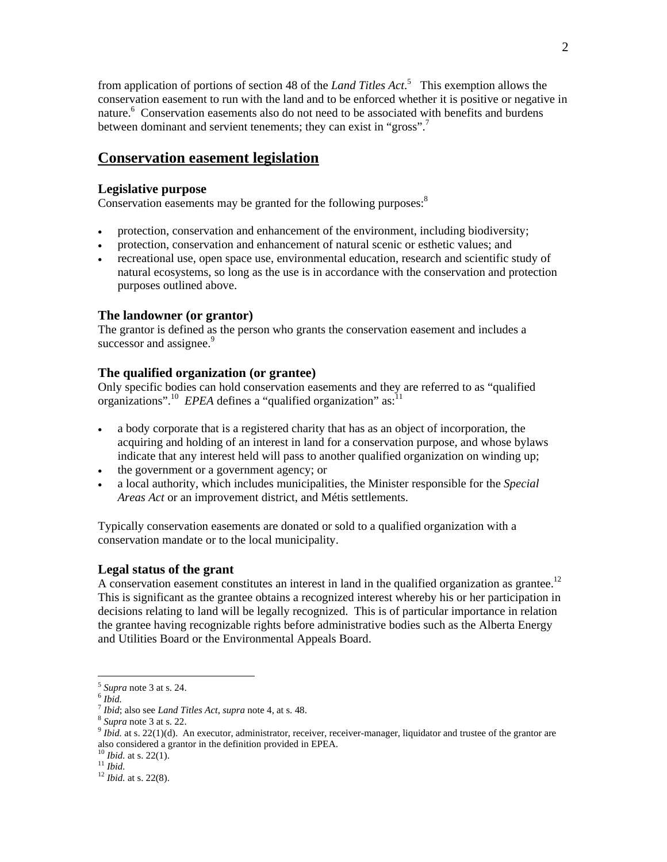from application of portions of section 48 of the *Land Titles Act*. 5 This exemption allows the conservation easement to run with the land and to be enforced whether it is positive or negative in nature.<sup>6</sup> Conservation easements also do not need to be associated with benefits and burdens between dominant and servient tenements; they can exist in "gross".<sup>7</sup>

## **Conservation easement legislation**

#### **Legislative purpose**

Conservation easements may be granted for the following purposes:<sup>8</sup>

- protection, conservation and enhancement of the environment, including biodiversity;
- protection, conservation and enhancement of natural scenic or esthetic values; and
- recreational use, open space use, environmental education, research and scientific study of natural ecosystems, so long as the use is in accordance with the conservation and protection purposes outlined above.

#### **The landowner (or grantor)**

The grantor is defined as the person who grants the conservation easement and includes a successor and assignee.<sup>9</sup>

## **The qualified organization (or grantee)**

Only specific bodies can hold conservation easements and they are referred to as "qualified organizations".<sup>10</sup> *EPEA* defines a "qualified organization" as:<sup>11</sup>

- a body corporate that is a registered charity that has as an object of incorporation, the acquiring and holding of an interest in land for a conservation purpose, and whose bylaws indicate that any interest held will pass to another qualified organization on winding up;
- the government or a government agency; or
- a local authority, which includes municipalities, the Minister responsible for the *Special Areas Act* or an improvement district, and Métis settlements.

Typically conservation easements are donated or sold to a qualified organization with a conservation mandate or to the local municipality.

#### **Legal status of the grant**

A conservation easement constitutes an interest in land in the qualified organization as grantee.<sup>12</sup> This is significant as the grantee obtains a recognized interest whereby his or her participation in decisions relating to land will be legally recognized. This is of particular importance in relation the grantee having recognizable rights before administrative bodies such as the Alberta Energy and Utilities Board or the Environmental Appeals Board.

<sup>&</sup>lt;sup>5</sup> *Supra* note 3 at s. 24.<br><sup>6</sup> *Ibid.*<br><sup>7</sup> *Ibid*; also see *Land Titles Act*, *supra* note 4, at s. 48.

 $\frac{8}{3}$  Supra note 3 at s. 22.<br> $\frac{9}{10}$  Ibid. at s. 22(1)(d). An executor, administrator, receiver, receiver-manager, liquidator and trustee of the grantor are also considered a grantor in the definition provided in EPEA.

<sup>10</sup> *Ibid.* at s. 22(1). 11 *Ibid.*<sup>12</sup> *Ibid.* at s. 22(8).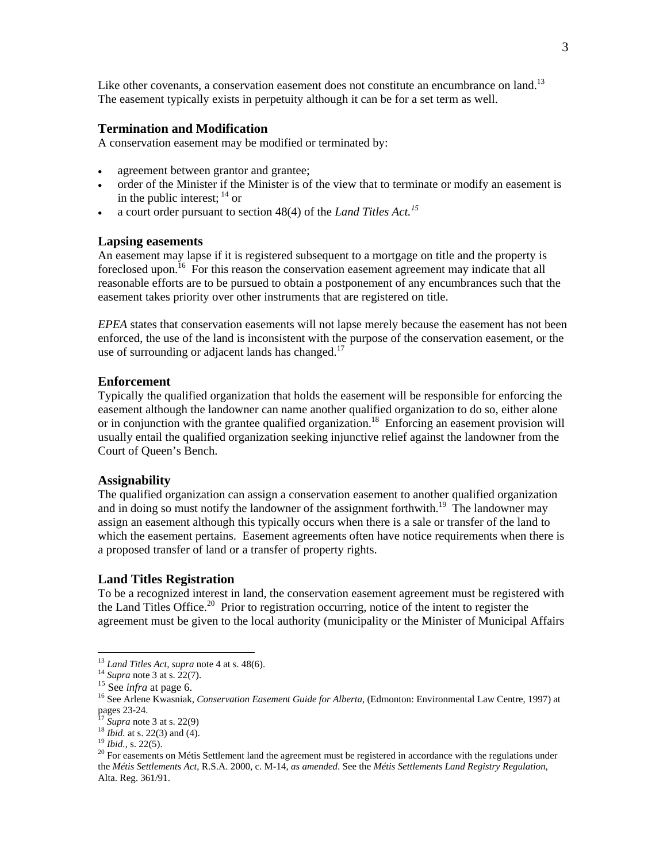Like other covenants, a conservation easement does not constitute an encumbrance on land.<sup>13</sup> The easement typically exists in perpetuity although it can be for a set term as well.

#### **Termination and Modification**

A conservation easement may be modified or terminated by:

- agreement between grantor and grantee;
- order of the Minister if the Minister is of the view that to terminate or modify an easement is in the public interest;  $^{14}$  or
- a court order pursuant to section 48(4) of the *Land Titles Act.<sup>15</sup>*

#### **Lapsing easements**

An easement may lapse if it is registered subsequent to a mortgage on title and the property is foreclosed upon.<sup>16</sup> For this reason the conservation easement agreement may indicate that all reasonable efforts are to be pursued to obtain a postponement of any encumbrances such that the easement takes priority over other instruments that are registered on title.

*EPEA* states that conservation easements will not lapse merely because the easement has not been enforced, the use of the land is inconsistent with the purpose of the conservation easement, or the use of surrounding or adjacent lands has changed. $^{17}$ 

#### **Enforcement**

Typically the qualified organization that holds the easement will be responsible for enforcing the easement although the landowner can name another qualified organization to do so, either alone or in conjunction with the grantee qualified organization.<sup>18</sup> Enforcing an easement provision will usually entail the qualified organization seeking injunctive relief against the landowner from the Court of Queen's Bench.

#### **Assignability**

The qualified organization can assign a conservation easement to another qualified organization and in doing so must notify the landowner of the assignment forthwith.<sup>19</sup> The landowner may assign an easement although this typically occurs when there is a sale or transfer of the land to which the easement pertains. Easement agreements often have notice requirements when there is a proposed transfer of land or a transfer of property rights.

#### **Land Titles Registration**

To be a recognized interest in land, the conservation easement agreement must be registered with the Land Titles Office.<sup>20</sup> Prior to registration occurring, notice of the intent to register the agreement must be given to the local authority (municipality or the Minister of Municipal Affairs

 $13$  Land Titles Act, supra note 4 at s. 48(6).

<sup>&</sup>lt;sup>14</sup> Supra note 3 at s. 22(7).<br><sup>15</sup> See *infra* at page 6.<br><sup>15</sup> See Arlene Kwasniak, *Conservation Easement Guide for Alberta*, (Edmonton: Environmental Law Centre, 1997) at pages 23-24.<br><sup>17</sup> Supra note 3 at s. 22(9)

<sup>&</sup>lt;sup>18</sup> *Ibid.* at s. 22(3) and (4).<br><sup>19</sup> *Ibid.*, s. 22(5).<br><sup>20</sup> For easements on Métis Settlement land the agreement must be registered in accordance with the regulations under the *Métis Settlements Act*, R.S.A. 2000, c. M-14, *as amended*. See the *Métis Settlements Land Registry Regulation*, Alta. Reg. 361/91.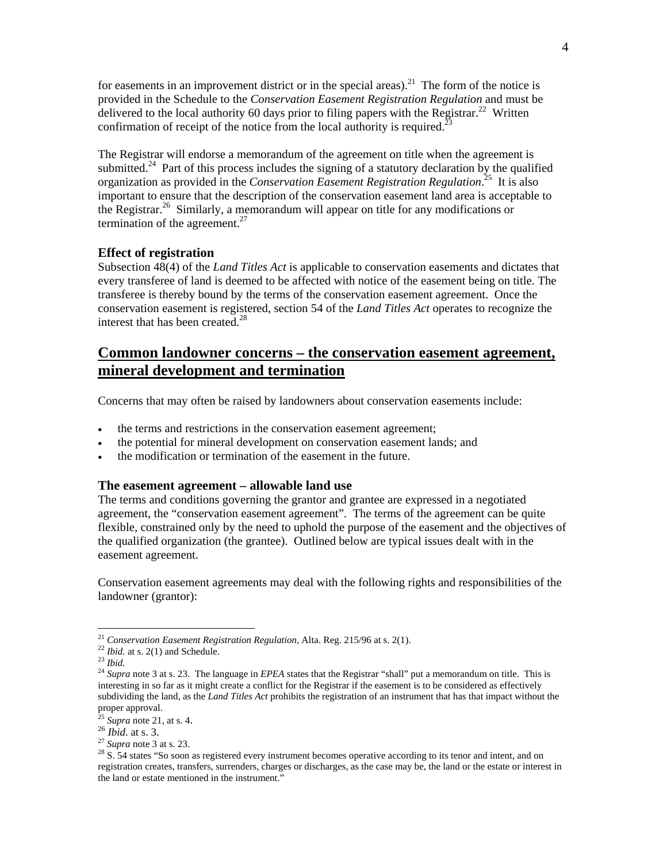for easements in an improvement district or in the special areas).<sup>21</sup> The form of the notice is provided in the Schedule to the *Conservation Easement Registration Regulation* and must be delivered to the local authority 60 days prior to filing papers with the Registrar.<sup>22</sup> Written confirmation of receipt of the notice from the local authority is required.<sup>2</sup>

The Registrar will endorse a memorandum of the agreement on title when the agreement is submitted.<sup>24</sup> Part of this process includes the signing of a statutory declaration by the qualified organization as provided in the *Conservation Easement Registration Regulation*. 25 It is also important to ensure that the description of the conservation easement land area is acceptable to the Registrar.<sup>26</sup> Similarly, a memorandum will appear on title for any modifications or termination of the agreement. $27$ 

### **Effect of registration**

Subsection 48(4) of the *Land Titles Act* is applicable to conservation easements and dictates that every transferee of land is deemed to be affected with notice of the easement being on title. The transferee is thereby bound by the terms of the conservation easement agreement. Once the conservation easement is registered, section 54 of the *Land Titles Act* operates to recognize the interest that has been created.<sup>28</sup>

## **Common landowner concerns – the conservation easement agreement, mineral development and termination**

Concerns that may often be raised by landowners about conservation easements include:

- the terms and restrictions in the conservation easement agreement;
- the potential for mineral development on conservation easement lands; and
- the modification or termination of the easement in the future.

## **The easement agreement – allowable land use**

The terms and conditions governing the grantor and grantee are expressed in a negotiated agreement, the "conservation easement agreement". The terms of the agreement can be quite flexible, constrained only by the need to uphold the purpose of the easement and the objectives of the qualified organization (the grantee). Outlined below are typical issues dealt with in the easement agreement.

Conservation easement agreements may deal with the following rights and responsibilities of the landowner (grantor):

<sup>&</sup>lt;sup>21</sup> Conservation Easement Registration Regulation, Alta. Reg. 215/96 at s. 2(1).<br><sup>22</sup> Ibid. at s. 2(1) and Schedule.<br><sup>23</sup> Ibid.<br><sup>24</sup> Supra note 3 at s. 23. The language in *EPEA* states that the Registrar "shall" put a m interesting in so far as it might create a conflict for the Registrar if the easement is to be considered as effectively subdividing the land, as the *Land Titles Act* prohibits the registration of an instrument that has that impact without the proper approval.<br> $^{25}$  Supra note 21, at s. 4.

<sup>&</sup>lt;sup>26</sup> *Ibid*. at s. 3.<br><sup>27</sup> *Supra* note 3 at s. 23.<br><sup>28</sup> S. 54 states "So soon as registered every instrument becomes operative according to its tenor and intent, and on registration creates, transfers, surrenders, charges or discharges, as the case may be, the land or the estate or interest in the land or estate mentioned in the instrument."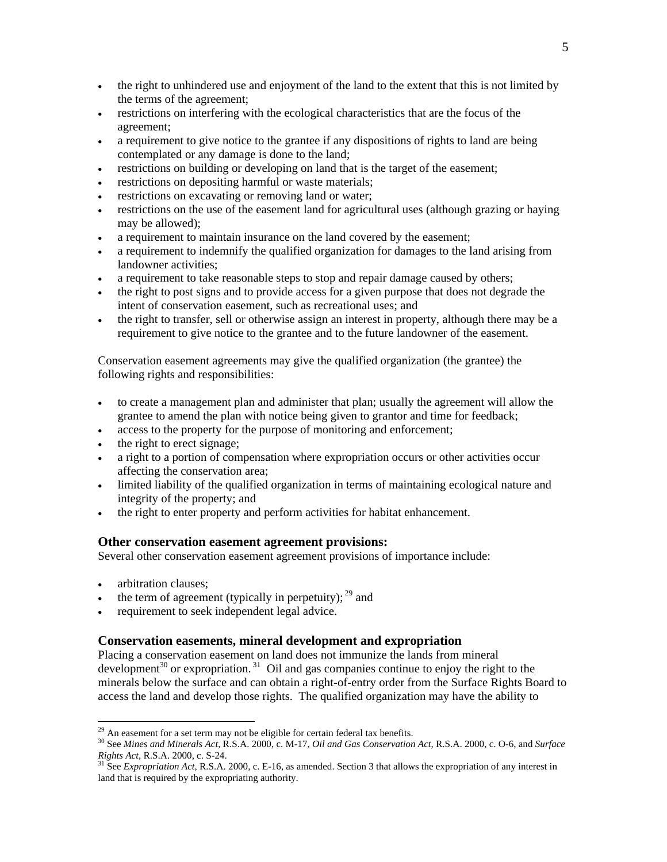- the right to unhindered use and enjoyment of the land to the extent that this is not limited by the terms of the agreement;
- restrictions on interfering with the ecological characteristics that are the focus of the agreement;
- a requirement to give notice to the grantee if any dispositions of rights to land are being contemplated or any damage is done to the land;
- restrictions on building or developing on land that is the target of the easement;
- restrictions on depositing harmful or waste materials;
- restrictions on excavating or removing land or water;
- restrictions on the use of the easement land for agricultural uses (although grazing or haying may be allowed);
- a requirement to maintain insurance on the land covered by the easement;
- a requirement to indemnify the qualified organization for damages to the land arising from landowner activities;
- a requirement to take reasonable steps to stop and repair damage caused by others;
- the right to post signs and to provide access for a given purpose that does not degrade the intent of conservation easement, such as recreational uses; and
- the right to transfer, sell or otherwise assign an interest in property, although there may be a requirement to give notice to the grantee and to the future landowner of the easement.

Conservation easement agreements may give the qualified organization (the grantee) the following rights and responsibilities:

- to create a management plan and administer that plan; usually the agreement will allow the grantee to amend the plan with notice being given to grantor and time for feedback;
- access to the property for the purpose of monitoring and enforcement;
- the right to erect signage;
- a right to a portion of compensation where expropriation occurs or other activities occur affecting the conservation area;
- limited liability of the qualified organization in terms of maintaining ecological nature and integrity of the property; and
- the right to enter property and perform activities for habitat enhancement.

#### **Other conservation easement agreement provisions:**

Several other conservation easement agreement provisions of importance include:

• arbitration clauses:

 $\overline{a}$ 

- the term of agreement (typically in perpetuity);  $^{29}$  and
- requirement to seek independent legal advice.

## **Conservation easements, mineral development and expropriation**

Placing a conservation easement on land does not immunize the lands from mineral development<sup>30</sup> or expropriation.<sup>31</sup> Oil and gas companies continue to enjoy the right to the minerals below the surface and can obtain a right-of-entry order from the Surface Rights Board to access the land and develop those rights. The qualified organization may have the ability to

 $29$  An easement for a set term may not be eligible for certain federal tax benefits.

<sup>30</sup> See *Mines and Minerals Act*, R.S.A. 2000, c. M-17, *Oil and Gas Conservation Act,* R.S.A. 2000, c. O-6, and *Surface Rights Act*, R.S.A. 2000, c. S-24. 31 See *Expropriation Act*, R.S.A. 2000, c. E-16, as amended. Section 3 that allows the expropriation of any interest in

land that is required by the expropriating authority.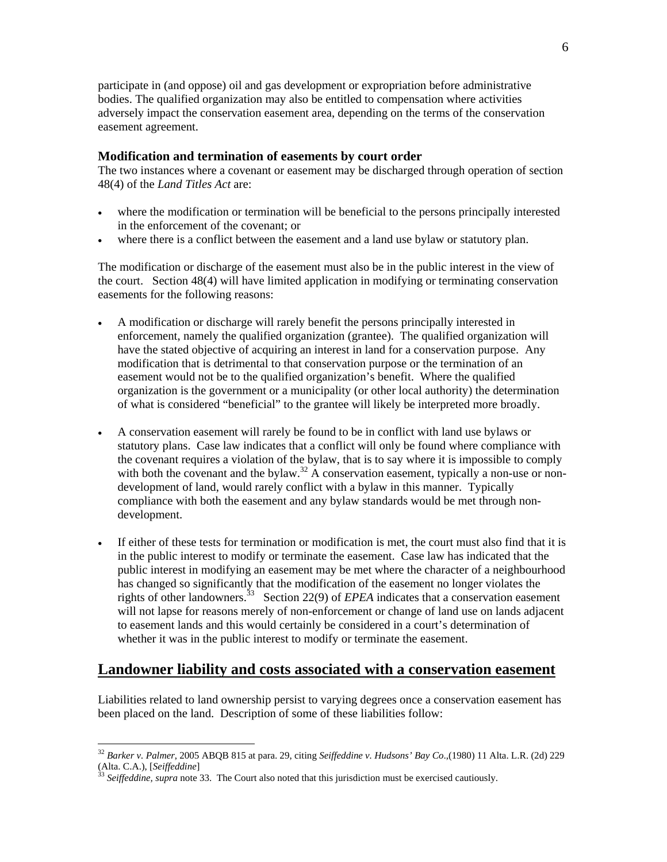participate in (and oppose) oil and gas development or expropriation before administrative bodies. The qualified organization may also be entitled to compensation where activities adversely impact the conservation easement area, depending on the terms of the conservation easement agreement.

#### **Modification and termination of easements by court order**

The two instances where a covenant or easement may be discharged through operation of section 48(4) of the *Land Titles Act* are:

- where the modification or termination will be beneficial to the persons principally interested in the enforcement of the covenant; or
- where there is a conflict between the easement and a land use bylaw or statutory plan.

The modification or discharge of the easement must also be in the public interest in the view of the court. Section 48(4) will have limited application in modifying or terminating conservation easements for the following reasons:

- A modification or discharge will rarely benefit the persons principally interested in enforcement, namely the qualified organization (grantee). The qualified organization will have the stated objective of acquiring an interest in land for a conservation purpose. Any modification that is detrimental to that conservation purpose or the termination of an easement would not be to the qualified organization's benefit. Where the qualified organization is the government or a municipality (or other local authority) the determination of what is considered "beneficial" to the grantee will likely be interpreted more broadly.
- A conservation easement will rarely be found to be in conflict with land use bylaws or statutory plans. Case law indicates that a conflict will only be found where compliance with the covenant requires a violation of the bylaw, that is to say where it is impossible to comply with both the covenant and the bylaw.<sup>32</sup> A conservation easement, typically a non-use or nondevelopment of land, would rarely conflict with a bylaw in this manner. Typically compliance with both the easement and any bylaw standards would be met through nondevelopment.
- If either of these tests for termination or modification is met, the court must also find that it is in the public interest to modify or terminate the easement. Case law has indicated that the public interest in modifying an easement may be met where the character of a neighbourhood has changed so significantly that the modification of the easement no longer violates the rights of other landowners.<sup>33</sup> Section 22(9) of *EPEA* indicates that a conservation easement will not lapse for reasons merely of non-enforcement or change of land use on lands adjacent to easement lands and this would certainly be considered in a court's determination of whether it was in the public interest to modify or terminate the easement.

## **Landowner liability and costs associated with a conservation easement**

Liabilities related to land ownership persist to varying degrees once a conservation easement has been placed on the land. Description of some of these liabilities follow:

<sup>32</sup> *Barker v. Palmer*, 2005 ABQB 815 at para. 29, citing *Seiffeddine v. Hudsons' Bay Co*.,(1980) 11 Alta. L.R. (2d) 229 (Alta. C.A.), [*Seiffeddine*]<br><sup>33</sup> *Seiffeddine, supra* note 33. The Court also noted that this jurisdiction must be exercised cautiously.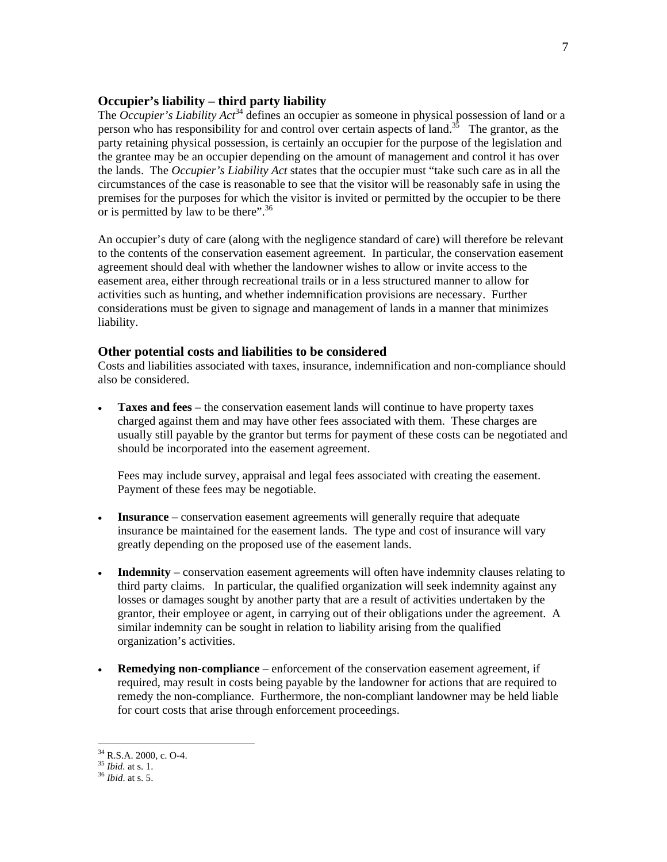### **Occupier's liability – third party liability**

The *Occupier's Liability Act*<sup>34</sup> defines an occupier as someone in physical possession of land or a person who has responsibility for and control over certain aspects of land.<sup>35</sup> The grantor, as the party retaining physical possession, is certainly an occupier for the purpose of the legislation and the grantee may be an occupier depending on the amount of management and control it has over the lands. The *Occupier's Liability Act* states that the occupier must "take such care as in all the circumstances of the case is reasonable to see that the visitor will be reasonably safe in using the premises for the purposes for which the visitor is invited or permitted by the occupier to be there or is permitted by law to be there".<sup>36</sup>

An occupier's duty of care (along with the negligence standard of care) will therefore be relevant to the contents of the conservation easement agreement. In particular, the conservation easement agreement should deal with whether the landowner wishes to allow or invite access to the easement area, either through recreational trails or in a less structured manner to allow for activities such as hunting, and whether indemnification provisions are necessary. Further considerations must be given to signage and management of lands in a manner that minimizes liability.

#### **Other potential costs and liabilities to be considered**

Costs and liabilities associated with taxes, insurance, indemnification and non-compliance should also be considered.

• **Taxes and fees** – the conservation easement lands will continue to have property taxes charged against them and may have other fees associated with them. These charges are usually still payable by the grantor but terms for payment of these costs can be negotiated and should be incorporated into the easement agreement.

Fees may include survey, appraisal and legal fees associated with creating the easement. Payment of these fees may be negotiable.

- **Insurance** conservation easement agreements will generally require that adequate insurance be maintained for the easement lands. The type and cost of insurance will vary greatly depending on the proposed use of the easement lands.
- **Indemnity** conservation easement agreements will often have indemnity clauses relating to third party claims. In particular, the qualified organization will seek indemnity against any losses or damages sought by another party that are a result of activities undertaken by the grantor, their employee or agent, in carrying out of their obligations under the agreement. A similar indemnity can be sought in relation to liability arising from the qualified organization's activities.
- **Remedying non-compliance** enforcement of the conservation easement agreement, if required, may result in costs being payable by the landowner for actions that are required to remedy the non-compliance. Furthermore, the non-compliant landowner may be held liable for court costs that arise through enforcement proceedings.

 $34$  R.S.A. 2000, c. O-4.

<sup>35</sup> *Ibid.* at s. 1. 36 *Ibid*. at s. 5.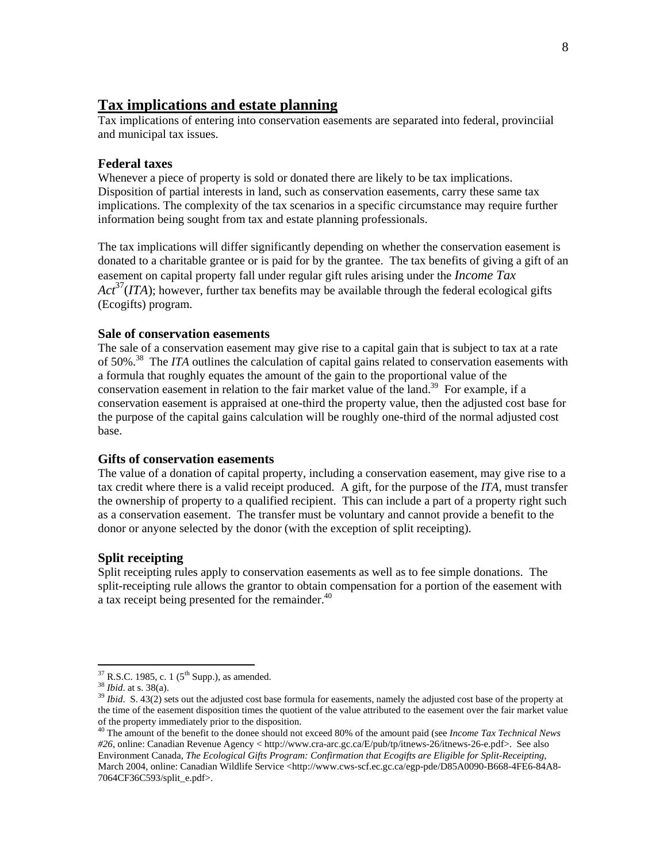## **Tax implications and estate planning**

Tax implications of entering into conservation easements are separated into federal, provinciial and municipal tax issues.

#### **Federal taxes**

Whenever a piece of property is sold or donated there are likely to be tax implications. Disposition of partial interests in land, such as conservation easements, carry these same tax implications. The complexity of the tax scenarios in a specific circumstance may require further information being sought from tax and estate planning professionals.

The tax implications will differ significantly depending on whether the conservation easement is donated to a charitable grantee or is paid for by the grantee. The tax benefits of giving a gift of an easement on capital property fall under regular gift rules arising under the *Income Tax Act*37(*ITA*); however, further tax benefits may be available through the federal ecological gifts (Ecogifts) program.

### **Sale of conservation easements**

The sale of a conservation easement may give rise to a capital gain that is subject to tax at a rate of 50%.38 The *ITA* outlines the calculation of capital gains related to conservation easements with a formula that roughly equates the amount of the gain to the proportional value of the conservation easement in relation to the fair market value of the land.<sup>39</sup> For example, if a conservation easement is appraised at one-third the property value, then the adjusted cost base for the purpose of the capital gains calculation will be roughly one-third of the normal adjusted cost base.

#### **Gifts of conservation easements**

The value of a donation of capital property, including a conservation easement, may give rise to a tax credit where there is a valid receipt produced. A gift, for the purpose of the *ITA,* must transfer the ownership of property to a qualified recipient. This can include a part of a property right such as a conservation easement. The transfer must be voluntary and cannot provide a benefit to the donor or anyone selected by the donor (with the exception of split receipting).

### **Split receipting**

Split receipting rules apply to conservation easements as well as to fee simple donations. The split-receipting rule allows the grantor to obtain compensation for a portion of the easement with a tax receipt being presented for the remainder.<sup>40</sup>

 $\overline{a}$ 

<sup>&</sup>lt;sup>37</sup> R.S.C. 1985, c. 1 (5<sup>th</sup> Supp.), as amended.<br><sup>38</sup> *Ibid.* at s. 38(a).  $\frac{39}{12}$  *Ibid.* S. 43(2) sets out the adjusted cost base formula for easements, namely the adjusted cost base of the property at the time of the easement disposition times the quotient of the value attributed to the easement over the fair market value of the property immediately prior to the disposition.

<sup>40</sup> The amount of the benefit to the donee should not exceed 80% of the amount paid (see *Income Tax Technical News #26*, online: Canadian Revenue Agency < http://www.cra-arc.gc.ca/E/pub/tp/itnews-26/itnews-26-e.pdf>. See also Environment Canada, *The Ecological Gifts Program: Confirmation that Ecogifts are Eligible for Split-Receipting*, March 2004, online: Canadian Wildlife Service <http://www.cws-scf.ec.gc.ca/egp-pde/D85A0090-B668-4FE6-84A8-7064CF36C593/split\_e.pdf>.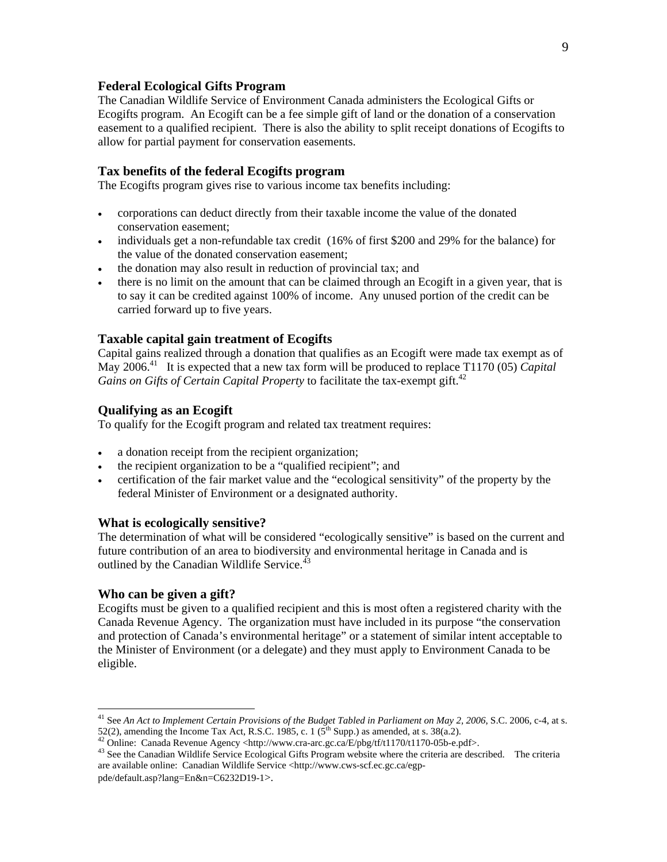### **Federal Ecological Gifts Program**

The Canadian Wildlife Service of Environment Canada administers the Ecological Gifts or Ecogifts program. An Ecogift can be a fee simple gift of land or the donation of a conservation easement to a qualified recipient. There is also the ability to split receipt donations of Ecogifts to allow for partial payment for conservation easements.

#### **Tax benefits of the federal Ecogifts program**

The Ecogifts program gives rise to various income tax benefits including:

- corporations can deduct directly from their taxable income the value of the donated conservation easement;
- individuals get a non-refundable tax credit (16% of first \$200 and 29% for the balance) for the value of the donated conservation easement;
- the donation may also result in reduction of provincial tax; and
- there is no limit on the amount that can be claimed through an Ecogift in a given year, that is to say it can be credited against 100% of income. Any unused portion of the credit can be carried forward up to five years.

#### **Taxable capital gain treatment of Ecogifts**

Capital gains realized through a donation that qualifies as an Ecogift were made tax exempt as of May 2006.<sup>41</sup> It is expected that a new tax form will be produced to replace T1170 (05) *Capital Gains on Gifts of Certain Capital Property* to facilitate the tax-exempt gift.<sup>42</sup>

#### **Qualifying as an Ecogift**

To qualify for the Ecogift program and related tax treatment requires:

- a donation receipt from the recipient organization;
- the recipient organization to be a "qualified recipient"; and
- certification of the fair market value and the "ecological sensitivity" of the property by the federal Minister of Environment or a designated authority.

#### **What is ecologically sensitive?**

The determination of what will be considered "ecologically sensitive" is based on the current and future contribution of an area to biodiversity and environmental heritage in Canada and is outlined by the Canadian Wildlife Service.<sup>43</sup>

#### **Who can be given a gift?**

 $\overline{a}$ 

Ecogifts must be given to a qualified recipient and this is most often a registered charity with the Canada Revenue Agency. The organization must have included in its purpose "the conservation and protection of Canada's environmental heritage" or a statement of similar intent acceptable to the Minister of Environment (or a delegate) and they must apply to Environment Canada to be eligible.

9

<sup>41</sup> See *An Act to Implement Certain Provisions of the Budget Tabled in Parliament on May 2, 2006*, S.C. 2006, c-4, at s. 52(2), amending the Income Tax Act, R.S.C. 1985, c. 1 ( $5^{th}$  Supp.) as amended, at s. 38(a.2).<br><sup>42</sup> Online: Canada Revenue Agency <http://www.cra-arc.gc.ca/E/pbg/tf/t1170/t1170-05b-e.pdf>.<br><sup>43</sup> See the Canadian Wildlife

are available online: Canadian Wildlife Service <http://www.cws-scf.ec.gc.ca/egppde/default.asp?lang=En&n=C6232D19-1>.